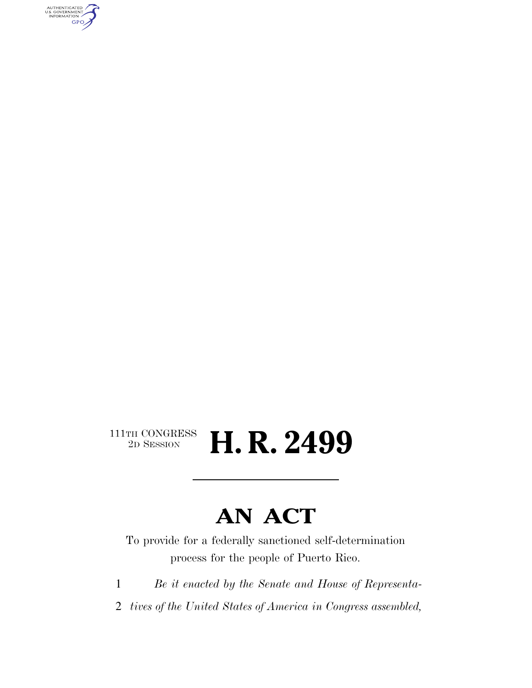AUTHENTICATED<br>U.S. GOVERNMENT<br>INFORMATION **GPO** 

### $\begin{array}{c} \textbf{111TH CONGRESS} \\ \textbf{2D} \textbf{Session} \end{array}$ H. R. 2499

## **AN ACT**

To provide for a federally sanctioned self-determination process for the people of Puerto Rico.

1 *Be it enacted by the Senate and House of Representa-*

2 *tives of the United States of America in Congress assembled,*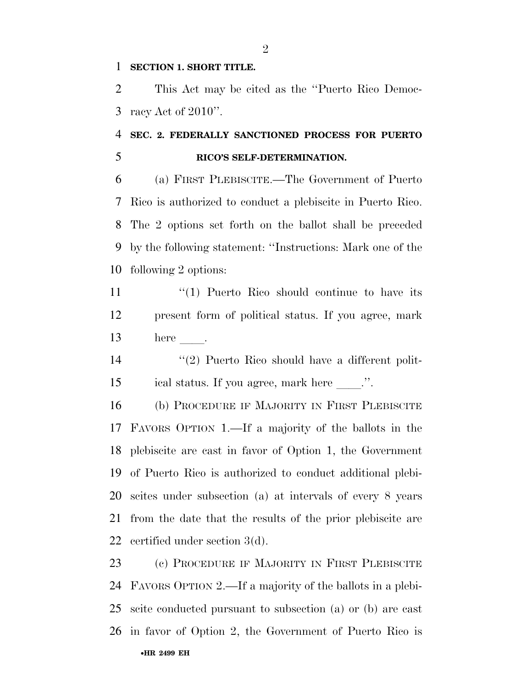#### **SECTION 1. SHORT TITLE.**

 This Act may be cited as the ''Puerto Rico Democ-racy Act of 2010''.

### **SEC. 2. FEDERALLY SANCTIONED PROCESS FOR PUERTO RICO'S SELF-DETERMINATION.**

 (a) FIRST PLEBISCITE.—The Government of Puerto Rico is authorized to conduct a plebiscite in Puerto Rico. The 2 options set forth on the ballot shall be preceded by the following statement: ''Instructions: Mark one of the following 2 options:

11 ''(1) Puerto Rico should continue to have its present form of political status. If you agree, mark here  $\qquad$ .

14 ''(2) Puerto Rico should have a different polit-15 ical status. If you agree, mark here \_\_\_\_.".

 (b) PROCEDURE IF MAJORITY IN FIRST PLEBISCITE FAVORS OPTION 1.—If a majority of the ballots in the plebiscite are cast in favor of Option 1, the Government of Puerto Rico is authorized to conduct additional plebi- scites under subsection (a) at intervals of every 8 years from the date that the results of the prior plebiscite are certified under section 3(d).

•**HR 2499 EH** (c) PROCEDURE IF MAJORITY IN FIRST PLEBISCITE FAVORS OPTION 2.—If a majority of the ballots in a plebi- scite conducted pursuant to subsection (a) or (b) are cast in favor of Option 2, the Government of Puerto Rico is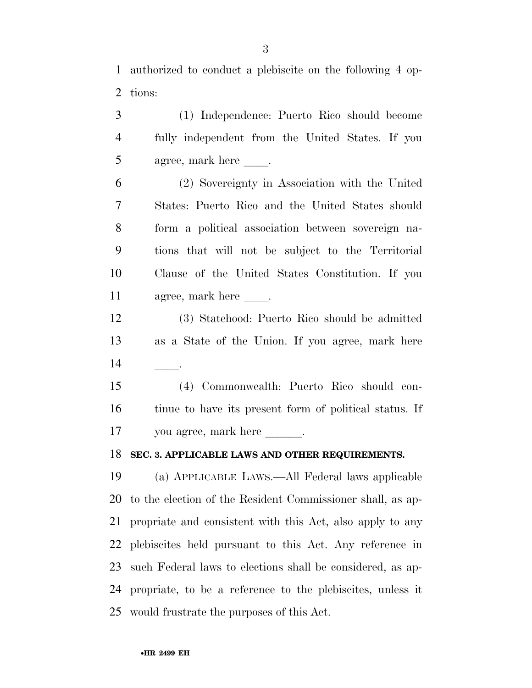authorized to conduct a plebiscite on the following 4 op-tions:

 (1) Independence: Puerto Rico should become fully independent from the United States. If you 5 agree, mark here . (2) Sovereignty in Association with the United States: Puerto Rico and the United States should form a political association between sovereign na- tions that will not be subject to the Territorial Clause of the United States Constitution. If you 11 agree, mark here . (3) Statehood: Puerto Rico should be admitted as a State of the Union. If you agree, mark here  $\qquad$  (4) Commonwealth: Puerto Rico should con- tinue to have its present form of political status. If 17 you agree, mark here is **SEC. 3. APPLICABLE LAWS AND OTHER REQUIREMENTS.**  (a) APPLICABLE LAWS.—All Federal laws applicable to the election of the Resident Commissioner shall, as ap- propriate and consistent with this Act, also apply to any plebiscites held pursuant to this Act. Any reference in such Federal laws to elections shall be considered, as ap-propriate, to be a reference to the plebiscites, unless it

would frustrate the purposes of this Act.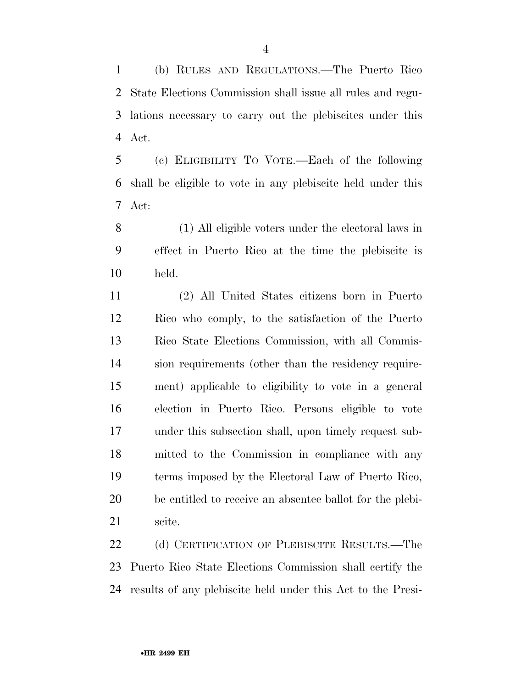(b) RULES AND REGULATIONS.—The Puerto Rico State Elections Commission shall issue all rules and regu- lations necessary to carry out the plebiscites under this Act.

 (c) ELIGIBILITY TO VOTE.—Each of the following shall be eligible to vote in any plebiscite held under this Act:

 (1) All eligible voters under the electoral laws in effect in Puerto Rico at the time the plebiscite is held.

 (2) All United States citizens born in Puerto Rico who comply, to the satisfaction of the Puerto Rico State Elections Commission, with all Commis- sion requirements (other than the residency require- ment) applicable to eligibility to vote in a general election in Puerto Rico. Persons eligible to vote under this subsection shall, upon timely request sub- mitted to the Commission in compliance with any terms imposed by the Electoral Law of Puerto Rico, be entitled to receive an absentee ballot for the plebi-scite.

22 (d) CERTIFICATION OF PLEBISCITE RESULTS.—The Puerto Rico State Elections Commission shall certify the results of any plebiscite held under this Act to the Presi-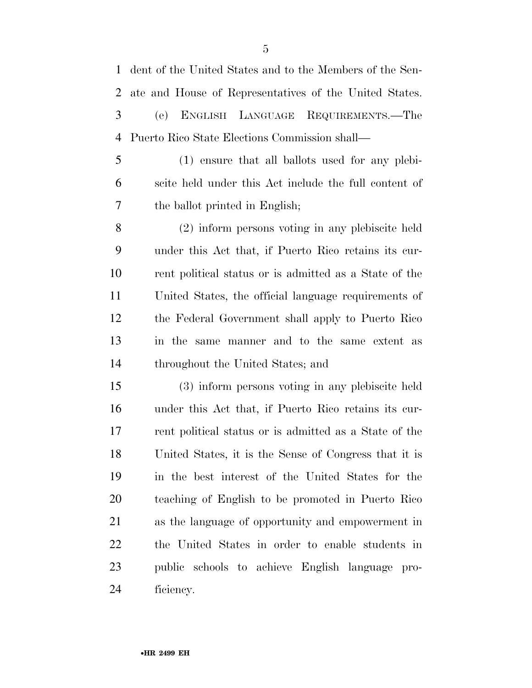dent of the United States and to the Members of the Sen- ate and House of Representatives of the United States. (e) ENGLISH LANGUAGE REQUIREMENTS.—The Puerto Rico State Elections Commission shall— (1) ensure that all ballots used for any plebi- scite held under this Act include the full content of the ballot printed in English; (2) inform persons voting in any plebiscite held under this Act that, if Puerto Rico retains its cur- rent political status or is admitted as a State of the United States, the official language requirements of the Federal Government shall apply to Puerto Rico in the same manner and to the same extent as throughout the United States; and (3) inform persons voting in any plebiscite held under this Act that, if Puerto Rico retains its cur- rent political status or is admitted as a State of the United States, it is the Sense of Congress that it is in the best interest of the United States for the teaching of English to be promoted in Puerto Rico as the language of opportunity and empowerment in

 the United States in order to enable students in public schools to achieve English language pro-ficiency.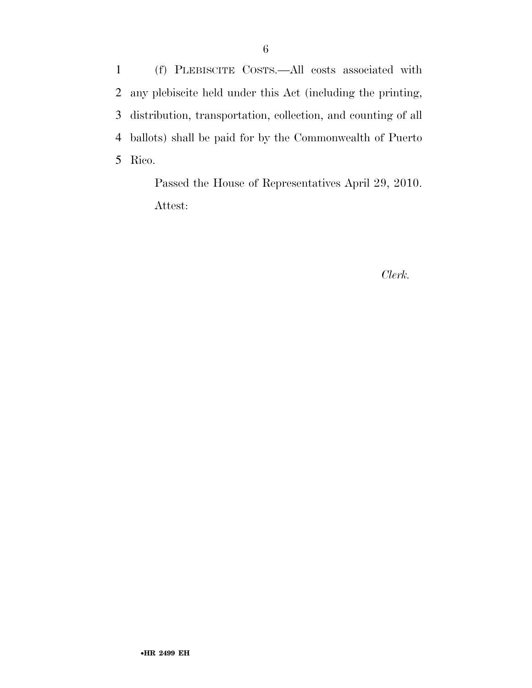(f) PLEBISCITE COSTS.—All costs associated with any plebiscite held under this Act (including the printing, distribution, transportation, collection, and counting of all ballots) shall be paid for by the Commonwealth of Puerto 5 Rico.

> Passed the House of Representatives April 29, 2010. Attest:

#### *Clerk.*